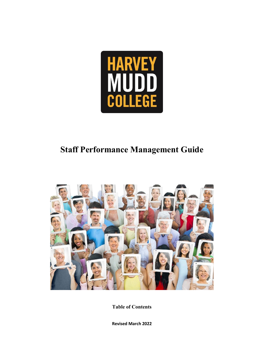

# **Staff Performance Management Guide**



**Table of Contents**

**Revised March 2022**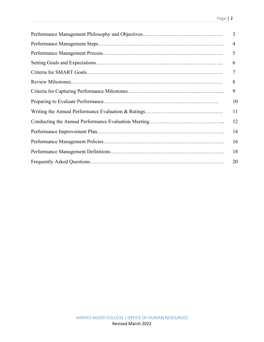| 3              |
|----------------|
| $\overline{4}$ |
| 5              |
| 6              |
| 7              |
| 8              |
| 9              |
| 10             |
| 11             |
| 12             |
| 14             |
| 16             |
| 18             |
| 20             |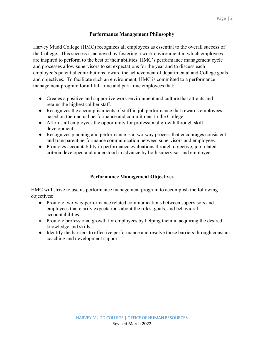# **Performance Management Philosophy**

Harvey Mudd College (HMC) recognizes all employees as essential to the overall success of the College. This success is achieved by fostering a work environment in which employees are inspired to perform to the best of their abilities. HMC's performance management cycle and processes allow supervisors to set expectations for the year and to discuss each employee's potential contributions toward the achievement of departmental and College goals and objectives. To facilitate such an environment, HMC is committed to a performance management program for all full-time and part-time employees that:

- Creates a positive and supportive work environment and culture that attracts and retains the highest caliber staff.
- Recognizes the accomplishments of staff in job performance that rewards employees based on their actual performance and commitment to the College.
- Affords all employees the opportunity for professional growth through skill development.
- Recognizes planning and performance is a two-way process that encourages consistent and transparent performance communication between supervisors and employees.
- Promotes accountability in performance evaluations through objective, job related criteria developed and understood in advance by both supervisor and employee.

# **Performance Management Objectives**

HMC will strive to use its performance management program to accomplish the following objectives:

- Promote two-way performance related communications between supervisors and employees that clarify expectations about the roles, goals, and behavioral accountabilities.
- Promote professional growth for employees by helping them in acquiring the desired knowledge and skills.
- Identify the barriers to effective performance and resolve those barriers through constant coaching and development support.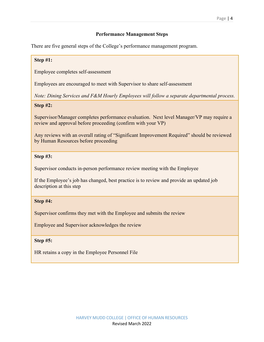# **Performance Management Steps**

There are five general steps of the College's performance management program.

# **Step #1:**

Employee completes self-assessment

Employees are encouraged to meet with Supervisor to share self-assessment

*Note: Dining Services and F&M Hourly Employees will follow a separate departmental process.*

# **Step #2:**

Supervisor/Manager completes performance evaluation. Next level Manager/VP may require a review and approval before proceeding (confirm with your VP)

Any reviews with an overall rating of "Significant Improvement Required" should be reviewed by Human Resources before proceeding

# **Step #3:**

Supervisor conducts in-person performance review meeting with the Employee

If the Employee's job has changed, best practice is to review and provide an updated job description at this step

# **Step #4:**

Supervisor confirms they met with the Employee and submits the review

Employee and Supervisor acknowledges the review

#### **Step #5:**

HR retains a copy in the Employee Personnel File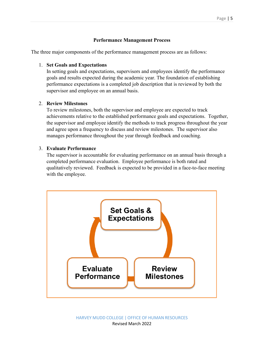# **Performance Management Process**

The three major components of the performance management process are as follows:

# 1. **Set Goals and Expectations**

In setting goals and expectations, supervisors and employees identify the performance goals and results expected during the academic year. The foundation of establishing performance expectations is a completed job description that is reviewed by both the supervisor and employee on an annual basis.

# 2. **Review Milestones**

To review milestones, both the supervisor and employee are expected to track achievements relative to the established performance goals and expectations. Together, the supervisor and employee identify the methods to track progress throughout the year and agree upon a frequency to discuss and review milestones. The supervisor also manages performance throughout the year through feedback and coaching.

# 3. **Evaluate Performance**

The supervisor is accountable for evaluating performance on an annual basis through a completed performance evaluation. Employee performance is both rated and qualitatively reviewed. Feedback is expected to be provided in a face-to-face meeting with the employee.

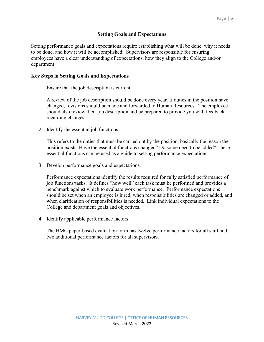# **Setting Goals and Expectations**

Setting performance goals and expectations require establishing what will be done, why it needs to be done, and how it will be accomplished. Supervisors are responsible for ensuring employees have a clear understanding of expectations, how they align to the College and/or department.

## **Key Steps in Setting Goals and Expectations**

1. Ensure that the job description is current.

A review of the job description should be done every year. If duties in the position have changed, revisions should be made and forwarded to Human Resources. The employee should also review their job description and be prepared to provide you with feedback regarding changes.

2. Identify the essential job functions.

This refers to the duties that must be carried out by the position, basically the reason the position exists. Have the essential functions changed? Do some need to be added? These essential functions can be used as a guide to setting performance expectations.

3. Develop performance goals and expectations.

Performance expectations identify the results required for fully satisfied performance of job functions/tasks. It defines "how well" each task must be performed and provides a benchmark against which to evaluate work performance. Performance expectations should be set when an employee is hired, when responsibilities are changed or added, and when clarification of responsibilities is needed. Link individual expectations to the College and department goals and objectives.

4. Identify applicable performance factors.

The HMC paper-based evaluation form has twelve performance factors for all staff and two additional performance factors for all supervisors.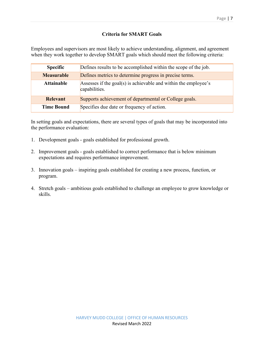# **Criteria for SMART Goals**

Employees and supervisors are most likely to achieve understanding, alignment, and agreement when they work together to develop SMART goals which should meet the following criteria:

| <b>Specific</b>   | Defines results to be accomplished within the scope of the job.                  |  |  |
|-------------------|----------------------------------------------------------------------------------|--|--|
| <b>Measurable</b> | Defines metrics to determine progress in precise terms.                          |  |  |
| <b>Attainable</b> | Assesses if the goal(s) is achievable and within the employee's<br>capabilities. |  |  |
| <b>Relevant</b>   | Supports achievement of departmental or College goals.                           |  |  |
| <b>Time Bound</b> | Specifies due date or frequency of action.                                       |  |  |

In setting goals and expectations, there are several types of goals that may be incorporated into the performance evaluation:

- 1. Development goals goals established for professional growth.
- 2. Improvement goals goals established to correct performance that is below minimum expectations and requires performance improvement.
- 3. Innovation goals inspiring goals established for creating a new process, function, or program.
- 4. Stretch goals ambitious goals established to challenge an employee to grow knowledge or skills.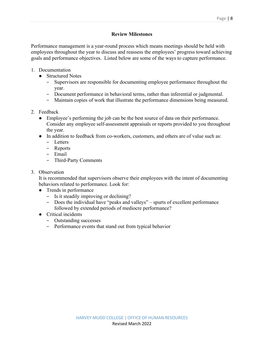Performance management is a year-round process which means meetings should be held with employees throughout the year to discuss and reassess the employees' progress toward achieving goals and performance objectives. Listed below are some of the ways to capture performance.

- 1. Documentation
	- Structured Notes
		- − Supervisors are responsible for documenting employee performance throughout the year.
		- − Document performance in behavioral terms, rather than inferential or judgmental.
		- − Maintain copies of work that illustrate the performance dimensions being measured.
- 2. Feedback
	- Employee's performing the job can be the best source of data on their performance. Consider any employee self-assessment appraisals or reports provided to you throughout the year.
	- In addition to feedback from co-workers, customers, and others are of value such as:
		- − Letters
		- − Reports
		- − Email
		- − Third-Party Comments
- 3. Observation

It is recommended that supervisors observe their employees with the intent of documenting behaviors related to performance. Look for:

- Trends in performance
	- − Is it steadily improving or declining?
	- − Does the individual have "peaks and valleys" spurts of excellent performance followed by extended periods of mediocre performance?
- Critical incidents
	- − Outstanding successes
	- − Performance events that stand out from typical behavior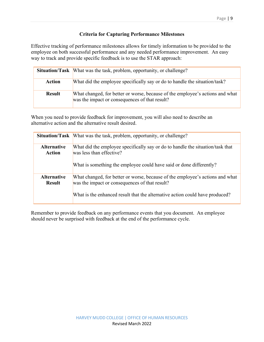# **Criteria for Capturing Performance Milestones**

Effective tracking of performance milestones allows for timely information to be provided to the employee on both successful performance and any needed performance improvement. An easy way to track and provide specific feedback is to use the STAR approach:

|               | <b>Situation/Task</b> What was the task, problem, opportunity, or challenge?                                                    |  |  |
|---------------|---------------------------------------------------------------------------------------------------------------------------------|--|--|
| Action        | What did the employee specifically say or do to handle the situation/task?                                                      |  |  |
| <b>Result</b> | What changed, for better or worse, because of the employee's actions and what<br>was the impact or consequences of that result? |  |  |

When you need to provide feedback for improvement, you will also need to describe an alternative action and the alternative result desired.

|                              | <b>Situation/Task</b> What was the task, problem, opportunity, or challenge?                                                                                                      |
|------------------------------|-----------------------------------------------------------------------------------------------------------------------------------------------------------------------------------|
| <b>Alternative</b><br>Action | What did the employee specifically say or do to handle the situation/task that<br>was less than effective?<br>What is something the employee could have said or done differently? |
| <b>Alternative</b>           | What changed, for better or worse, because of the employee's actions and what                                                                                                     |
| <b>Result</b>                | was the impact or consequences of that result?<br>What is the enhanced result that the alternative action could have produced?                                                    |

Remember to provide feedback on any performance events that you document. An employee should never be surprised with feedback at the end of the performance cycle.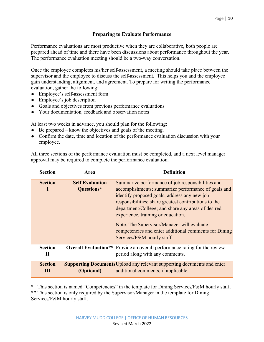# **Preparing to Evaluate Performance**

Performance evaluations are most productive when they are collaborative, both people are prepared ahead of time and there have been discussions about performance throughout the year. The performance evaluation meeting should be a two-way conversation.

Once the employee completes his/her self-assessment, a meeting should take place between the supervisor and the employee to discuss the self-assessment. This helps you and the employee gain understanding, alignment, and agreement. To prepare for writing the performance evaluation, gather the following:

- Employee's self-assessment form
- Employee's job description
- Goals and objectives from previous performance evaluations
- Your documentation, feedback and observation notes

At least two weeks in advance, you should plan for the following:

- Be prepared know the objectives and goals of the meeting.
- Confirm the date, time and location of the performance evaluation discussion with your employee.

All three sections of the performance evaluation must be completed, and a next level manager approval may be required to complete the performance evaluation.

| <b>Section</b>                                              | Area | <b>Definition</b>                                                                                                                                                                                                                                                                                                                                                                                                                                  |  |
|-------------------------------------------------------------|------|----------------------------------------------------------------------------------------------------------------------------------------------------------------------------------------------------------------------------------------------------------------------------------------------------------------------------------------------------------------------------------------------------------------------------------------------------|--|
| <b>Self Evaluation</b><br><b>Section</b><br>Questions*<br>н |      | Summarize performance of job responsibilities and<br>accomplishments; summarize performance of goals and<br>identify proposed goals; address any new job<br>responsibilities; share greatest contributions to the<br>department/College; and share any areas of desired<br>experience, training or education.<br>Note: The Supervisor/Manager will evaluate<br>competencies and enter additional comments for Dining<br>Services/F&M hourly staff. |  |
| <b>Section</b><br>П                                         |      | <b>Overall Evaluation</b> ** Provide an overall performance rating for the review<br>period along with any comments.                                                                                                                                                                                                                                                                                                                               |  |
| <b>Section</b><br>Ш                                         |      | <b>Supporting Documents Upload any relevant supporting documents and enter</b><br><b>(Optional)</b> additional comments, if applicable.                                                                                                                                                                                                                                                                                                            |  |

\* This section is named "Competencies" in the template for Dining Services/F&M hourly staff. \*\* This section is only required by the Supervisor/Manager in the template for Dining Services/F&M hourly staff.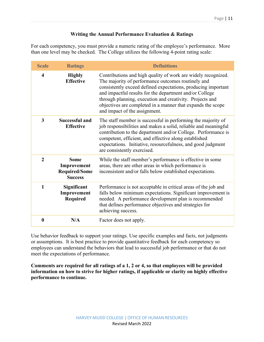# **Writing the Annual Performance Evaluation & Ratings**

For each competency, you must provide a numeric rating of the employee's performance. More than one level may be checked. The College utilizes the following 4-point rating scale:

| <b>Scale</b>            | <b>Ratings</b>                                                       | <b>Definitions</b>                                                                                                                                                                                                                                                                                                                                                                                          |  |
|-------------------------|----------------------------------------------------------------------|-------------------------------------------------------------------------------------------------------------------------------------------------------------------------------------------------------------------------------------------------------------------------------------------------------------------------------------------------------------------------------------------------------------|--|
| $\overline{\mathbf{4}}$ | <b>Highly</b><br><b>Effective</b>                                    | Contributions and high quality of work are widely recognized.<br>The majority of performance outcomes routinely and<br>consistently exceed defined expectations, producing important<br>and impactful results for the department and/or College<br>through planning, execution and creativity. Projects and<br>objectives are completed in a manner that expands the scope<br>and impact of the assignment. |  |
| 3                       | <b>Successful and</b><br><b>Effective</b>                            | The staff member is successful in performing the majority of<br>job responsibilities and makes a solid, reliable and meaningful<br>contribution to the department and/or College. Performance is<br>competent, efficient, and effective along established<br>expectations. Initiative, resourcefulness, and good judgment<br>are consistently exercised.                                                    |  |
| $\overline{2}$          | <b>Some</b><br>Improvement<br><b>Required/Some</b><br><b>Success</b> | While the staff member's performance is effective in some<br>areas, there are other areas in which performance is<br>inconsistent and/or falls below established expectations.                                                                                                                                                                                                                              |  |
| $\mathbf{1}$            | Significant<br>Improvement<br>Required                               | Performance is not acceptable in critical areas of the job and<br>falls below minimum expectations. Significant improvement is<br>needed. A performance development plan is recommended<br>that defines performance objectives and strategies for<br>achieving success.                                                                                                                                     |  |
| $\boldsymbol{0}$        | N/A                                                                  | Factor does not apply.                                                                                                                                                                                                                                                                                                                                                                                      |  |

Use behavior feedback to support your ratings. Use specific examples and facts, not judgments or assumptions. It is best practice to provide quantitative feedback for each competency so employees can understand the behaviors that lead to successful job performance or that do not meet the expectations of performance.

**Comments are required for all ratings of a 1, 2 or 4, so that employees will be provided information on how to strive for higher ratings, if applicable or clarity on highly effective performance to continue.**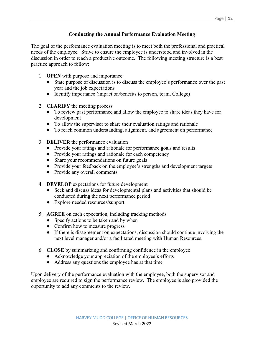# **Conducting the Annual Performance Evaluation Meeting**

The goal of the performance evaluation meeting is to meet both the professional and practical needs of the employee. Strive to ensure the employee is understood and involved in the discussion in order to reach a productive outcome. The following meeting structure is a best practice approach to follow:

- 1. **OPEN** with purpose and importance
	- State purpose of discussion is to discuss the employee's performance over the past year and the job expectations
	- Identify importance (impact on/benefits to person, team, College)
- 2. **CLARIFY** the meeting process
	- To review past performance and allow the employee to share ideas they have for development
	- To allow the supervisor to share their evaluation ratings and rationale
	- To reach common understanding, alignment, and agreement on performance
- 3. **DELIVER** the performance evaluation
	- Provide your ratings and rationale for performance goals and results
	- Provide your ratings and rationale for each competency
	- Share your recommendations on future goals
	- Provide your feedback on the employee's strengths and development targets
	- Provide any overall comments
- 4. **DEVELOP** expectations for future development
	- Seek and discuss ideas for developmental plans and activities that should be conducted during the next performance period
	- Explore needed resources/support
- 5. **AGREE** on each expectation, including tracking methods
	- Specify actions to be taken and by when
	- Confirm how to measure progress
	- If there is disagreement on expectations, discussion should continue involving the next level manager and/or a facilitated meeting with Human Resources.
- 6. **CLOSE** by summarizing and confirming confidence in the employee
	- Acknowledge your appreciation of the employee's efforts
	- Address any questions the employee has at that time

Upon delivery of the performance evaluation with the employee, both the supervisor and employee are required to sign the performance review. The employee is also provided the opportunity to add any comments to the review.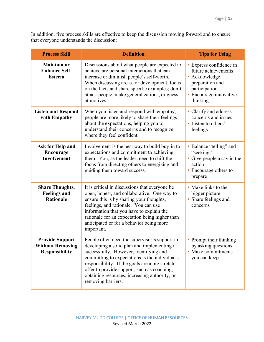In addition, five process skills are effective to keep the discussion moving forward and to ensure that everyone understands the discussion:

| <b>Process Skill</b>                                                       | <b>Definition</b>                                                                                                                                                                                                                                                                                                                                                 | <b>Tips for Using</b>                                                                                                                     |  |
|----------------------------------------------------------------------------|-------------------------------------------------------------------------------------------------------------------------------------------------------------------------------------------------------------------------------------------------------------------------------------------------------------------------------------------------------------------|-------------------------------------------------------------------------------------------------------------------------------------------|--|
| <b>Maintain or</b><br><b>Enhance Self-</b><br><b>Esteem</b>                | Discussions about what people are expected to<br>achieve are personal interactions that can<br>increase or diminish people's self-worth.<br>When discussing areas for development, focus<br>on the facts and share specific examples; don't<br>attack people, make generalizations, or guess<br>at motives                                                        | • Express confidence in<br>future achievements<br>• Acknowledge<br>preparation and<br>participation<br>· Encourage innovative<br>thinking |  |
| <b>Listen and Respond</b><br>with Empathy                                  | When you listen and respond with empathy,<br>people are more likely to share their feelings<br>about the expectations, helping you to<br>understand their concerns and to recognize<br>where they feel confident.                                                                                                                                                 | • Clarify and address<br>concerns and issues<br>• Listen to others'<br>feelings                                                           |  |
| Ask for Help and<br>Encourage<br>Involvement                               | Involvement is the best way to build buy-in to<br>expectations and commitment to achieving<br>them. You, as the leader, need to shift the<br>focus from directing others to energizing and<br>guiding them toward success.                                                                                                                                        | • Balance "telling" and<br>"seeking"<br>• Give people a say in the<br>action<br>• Encourage others to<br>prepare                          |  |
| <b>Share Thoughts,</b><br><b>Feelings and</b><br><b>Rationale</b>          | It is critical in discussions that everyone be<br>open, honest, and collaborative. One way to<br>ensure this is by sharing your thoughts,<br>feelings, and rationale. You can use<br>information that you have to explain the<br>rationale for an expectation being higher than<br>anticipated or for a behavior being more<br>important.                         | • Make links to the<br>bigger picture<br>• Share feelings and<br>concerns                                                                 |  |
| <b>Provide Support</b><br><b>Without Removing</b><br><b>Responsibility</b> | People often need the supervisor's support in<br>developing a solid plan and implementing it<br>successfully. However, identifying and<br>committing to expectations is the individual's<br>responsibility. If the goals are a big stretch,<br>offer to provide support, such as coaching,<br>obtaining resources, increasing authority, or<br>removing barriers. | • Prompt their thinking<br>by asking questions<br>• Make commitments<br>you can keep                                                      |  |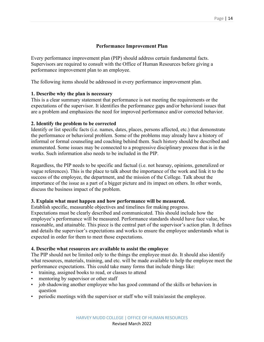# **Performance Improvement Plan**

Every performance improvement plan (PIP) should address certain fundamental facts. Supervisors are required to consult with the Office of Human Resources before giving a performance improvement plan to an employee.

The following items should be addressed in every performance improvement plan.

# **1. Describe why the plan is necessary**

This is a clear summary statement that performance is not meeting the requirements or the expectations of the supervisor. It identifies the performance gaps and/or behavioral issues that are a problem and emphasizes the need for improved performance and/or corrected behavior.

#### **2. Identify the problem to be corrected**

Identify or list specific facts (i.e. names, dates, places, persons affected, etc.) that demonstrate the performance or behavioral problem. Some of the problems may already have a history of informal or formal counseling and coaching behind them. Such history should be described and enumerated. Some issues may be connected to a progressive disciplinary process that is in the works. Such information also needs to be included in the PIP.

Regardless, the PIP needs to be specific and factual (i.e. not hearsay, opinions, generalized or vague references). This is the place to talk about the importance of the work and link it to the success of the employee, the department, and the mission of the College. Talk about the importance of the issue as a part of a bigger picture and its impact on others. In other words, discuss the business impact of the problem.

# **3. Explain what must happen and how performance will be measured.**

Establish specific, measurable objectives and timelines for making progress.

Expectations must be clearly described and communicated. This should include how the employee's performance will be measured. Performance standards should have face value, be reasonable, and attainable. This piece is the central part of the supervisor's action plan. It defines and details the supervisor's expectations and works to ensure the employee understands what is expected in order for them to meet those expectations.

#### **4. Describe what resources are available to assist the employee**

The PIP should not be limited only to the things the employee must do. It should also identify what resources, materials, training, and etc. will be made available to help the employee meet the performance expectations. This could take many forms that include things like:

- training, assigned books to read, or classes to attend
- mentoring by supervisor or other staff
- job shadowing another employee who has good command of the skills or behaviors in question
- periodic meetings with the supervisor or staff who will train/assist the employee.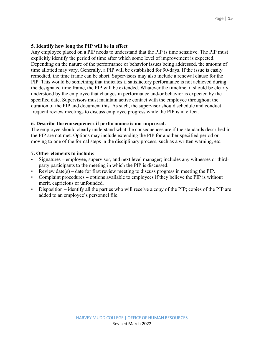# **5. Identify how long the PIP will be in effect**

Any employee placed on a PIP needs to understand that the PIP is time sensitive. The PIP must explicitly identify the period of time after which some level of improvement is expected. Depending on the nature of the performance or behavior issues being addressed, the amount of time allotted may vary. Generally, a PIP will be established for 90-days. If the issue is easily remedied, the time frame can be short. Supervisors may also include a renewal clause for the PIP. This would be something that indicates if satisfactory performance is not achieved during the designated time frame, the PIP will be extended. Whatever the timeline, it should be clearly understood by the employee that changes in performance and/or behavior is expected by the specified date. Supervisors must maintain active contact with the employee throughout the duration of the PIP and document this. As such, the supervisor should schedule and conduct frequent review meetings to discuss employee progress while the PIP is in effect.

# **6. Describe the consequences if performance is not improved.**

The employee should clearly understand what the consequences are if the standards described in the PIP are not met. Options may include extending the PIP for another specified period or moving to one of the formal steps in the disciplinary process, such as a written warning, etc.

# **7. Other elements to include:**

- Signatures employee, supervisor, and next level manager; includes any witnesses or thirdparty participants to the meeting in which the PIP is discussed.
- Review date(s) date for first review meeting to discuss progress in meeting the PIP.
- Complaint procedures options available to employees if they believe the PIP is without merit, capricious or unfounded.
- Disposition identify all the parties who will receive a copy of the PIP; copies of the PIP are added to an employee's personnel file.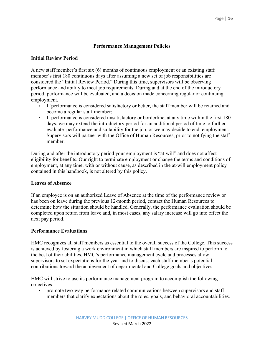# **Performance Management Policies**

# **Initial Review Period**

A new staff member's first six (6) months of continuous employment or an existing staff member's first 180 continuous days after assuming a new set of job responsibilities are considered the "Initial Review Period." During this time, supervisors will be observing performance and ability to meet job requirements. During and at the end of the introductory period, performance will be evaluated, and a decision made concerning regular or continuing employment.

- If performance is considered satisfactory or better, the staff member will be retained and become a regular staff member;
- If performance is considered unsatisfactory or borderline, at any time within the first 180 days, we may extend the introductory period for an additional period of time to further evaluate performance and suitability for the job, or we may decide to end employment. Supervisors will partner with the Office of Human Resources, prior to notifying the staff member.

During and after the introductory period your employment is "at-will" and does not affect eligibility for benefits. Our right to terminate employment or change the terms and conditions of employment, at any time, with or without cause, as described in the at-will employment policy contained in this handbook, is not altered by this policy.

#### **Leaves of Absence**

If an employee is on an authorized Leave of Absence at the time of the performance review or has been on leave during the previous 12-month period, contact the Human Resources to determine how the situation should be handled. Generally, the performance evaluation should be completed upon return from leave and, in most cases, any salary increase will go into effect the next pay period.

#### **Performance Evaluations**

HMC recognizes all staff members as essential to the overall success of the College. This success is achieved by fostering a work environment in which staff members are inspired to perform to the best of their abilities. HMC's performance management cycle and processes allow supervisors to set expectations for the year and to discuss each staff member's potential contributions toward the achievement of departmental and College goals and objectives.

HMC will strive to use its performance management program to accomplish the following objectives:

promote two-way performance related communications between supervisors and staff members that clarify expectations about the roles, goals, and behavioral accountabilities.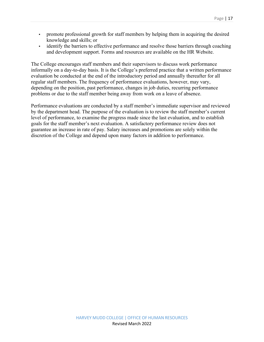- promote professional growth for staff members by helping them in acquiring the desired knowledge and skills; or
- identify the barriers to effective performance and resolve those barriers through coaching and development support. Forms and resources are available on the HR Website.

The College encourages staff members and their supervisors to discuss work performance informally on a day-to-day basis. It is the College's preferred practice that a written performance evaluation be conducted at the end of the introductory period and annually thereafter for all regular staff members. The frequency of performance evaluations, however, may vary, depending on the position, past performance, changes in job duties, recurring performance problems or due to the staff member being away from work on a leave of absence.

Performance evaluations are conducted by a staff member's immediate supervisor and reviewed by the department head. The purpose of the evaluation is to review the staff member's current level of performance, to examine the progress made since the last evaluation, and to establish goals for the staff member's next evaluation. A satisfactory performance review does not guarantee an increase in rate of pay. Salary increases and promotions are solely within the discretion of the College and depend upon many factors in addition to performance.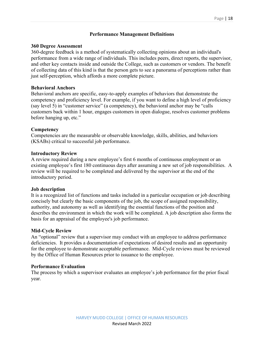# **Performance Management Definitions**

#### **360 Degree Assessment**

360-degree feedback is a method of systematically collecting opinions about an individual's performance from a wide range of individuals. This includes peers, direct reports, the supervisor, and other key contacts inside and outside the College, such as customers or vendors. The benefit of collecting data of this kind is that the person gets to see a panorama of perceptions rather than just self-perception, which affords a more complete picture.

# **Behavioral Anchors**

Behavioral anchors are specific, easy-to-apply examples of behaviors that demonstrate the competency and proficiency level. For example, if you want to define a high level of proficiency (say level 5) in "customer service" (a competency), the behavioral anchor may be "calls customers back within 1 hour, engages customers in open dialogue, resolves customer problems before hanging up, etc."

#### **Competency**

Competencies are the measurable or observable knowledge, skills, abilities, and behaviors (KSABs) critical to successful job performance.

#### **Introductory Review**

A review required during a new employee's first 6 months of continuous employment or an existing employee's first 180 continuous days after assuming a new set of job responsibilities. A review will be required to be completed and delivered by the supervisor at the end of the introductory period.

#### **Job description**

It is a recognized list of functions and tasks included in a particular occupation or job describing concisely but clearly the basic components of the job, the scope of assigned responsibility, authority, and autonomy as well as identifying the essential functions of the position and describes the environment in which the work will be completed. A job description also forms the basis for an appraisal of the employee's job performance.

#### **Mid-Cycle Review**

An "optional" review that a supervisor may conduct with an employee to address performance deficiencies. It provides a documentation of expectations of desired results and an opportunity for the employee to demonstrate acceptable performance. Mid-Cycle reviews must be reviewed by the Office of Human Resources prior to issuance to the employee.

# **Performance Evaluation**

The process by which a supervisor evaluates an employee's job performance for the prior fiscal year.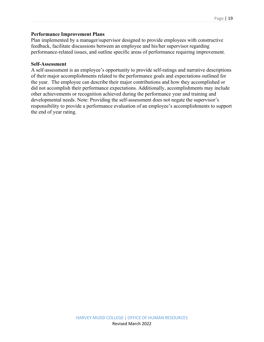# **Performance Improvement Plans**

Plan implemented by a manager/supervisor designed to provide employees with constructive feedback, facilitate discussions between an employee and his/her supervisor regarding performance-related issues, and outline specific areas of performance requiring improvement.

#### **Self-Assessment**

A self‐assessment is an employee's opportunity to provide self-ratings and narrative descriptions of their major accomplishments related to the performance goals and expectations outlined for the year. The employee can describe their major contributions and how they accomplished or did not accomplish their performance expectations. Additionally, accomplishments may include other achievements or recognition achieved during the performance year and training and developmental needs. Note: Providing the self‐assessment does not negate the supervisor's responsibility to provide a performance evaluation of an employee's accomplishments to support the end of year rating.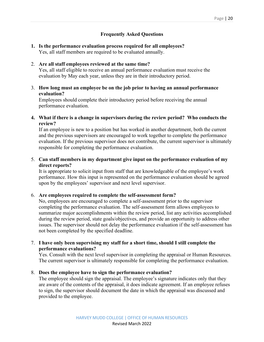# **Frequently Asked Questions**

# **1. Is the performance evaluation process required for all employees?** Yes, all staff members are required to be evaluated annually.

## 2. **Are all staff employees reviewed at the same time?**

Yes, all staff eligible to receive an annual performance evaluation must receive the evaluation by May each year, unless they are in their introductory period.

# 3. **How long must an employee be on the job prior to having an annual performance evaluation?**

Employees should complete their introductory period before receiving the annual performance evaluation.

# **4. What if there is a change in supervisors during the review period? Who conducts the review?**

If an employee is new to a position but has worked in another department, both the current and the previous supervisors are encouraged to work together to complete the performance evaluation. If the previous supervisor does not contribute, the current supervisor is ultimately responsible for completing the performance evaluation.

# 5. **Can staff members in my department give input on the performance evaluation of my direct reports?**

It is appropriate to solicit input from staff that are knowledgeable of the employee's work performance. How this input is represented on the performance evaluation should be agreed upon by the employees' supervisor and next level supervisor.

# 6. **Are employees required to complete the self-assessment form?**

No, employees are encouraged to complete a self-assessment prior to the supervisor completing the performance evaluation. The self-assessment form allows employees to summarize major accomplishments within the review period, list any activities accomplished during the review period, state goals/objectives, and provide an opportunity to address other issues. The supervisor should not delay the performance evaluation if the self-assessment has not been completed by the specified deadline.

# 7. **I have only been supervising my staff for a short time, should I still complete the performance evaluations?**

Yes. Consult with the next level supervisor in completing the appraisal or Human Resources. The current supervisor is ultimately responsible for completing the performance evaluation.

# 8. **Does the employee have to sign the performance evaluation?**

The employee should sign the appraisal. The employee's signature indicates only that they are aware of the contents of the appraisal, it does indicate agreement. If an employee refuses to sign, the supervisor should document the date in which the appraisal was discussed and provided to the employee.